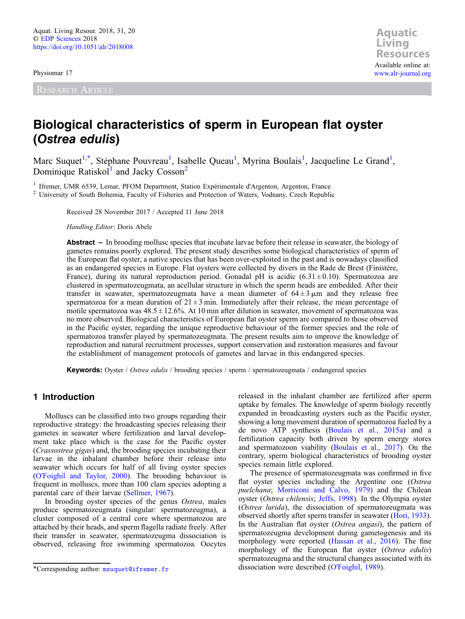#### Physiomar 17

RESEARCH ARTICLE

# Biological characteristics of sperm in European flat oyster (Ostrea edulis)

Marc Suquet<sup>1,\*</sup>, Stéphane Pouvreau<sup>1</sup>, Isabelle Queau<sup>1</sup>, Myrina Boulais<sup>1</sup>, Jacqueline Le Grand<sup>1</sup>, Dominique Ratiskol<sup>1</sup> and Jacky Cosson<sup>2</sup>

<sup>1</sup> Ifremer, UMR 6539, Lemar, PFOM Department, Station Expérimentale d'Argenton, Argenton, France  $\frac{2}{3}$  University of South Bohemia, Faculty of Fisheries and Protection of Waters, Vodnany, Czech Republic

Received 28 November 2017 / Accepted 11 June 2018

Handling Editor: Doris Abele

Abstract – In brooding mollusc species that incubate larvae before their release in seawater, the biology of gametes remains poorly explored. The present study describes some biological characteristics of sperm of the European flat oyster, a native species that has been over-exploited in the past and is nowadays classified as an endangered species in Europe. Flat oysters were collected by divers in the Rade de Brest (Finistère, France), during its natural reproduction period. Gonadal pH is acidic  $(6.31 \pm 0.10)$ . Spermatozoa are clustered in spermatozeugmata, an acellular structure in which the sperm heads are embedded. After their transfer in seawater, spermatozeugmata have a mean diameter of  $64 \pm 3 \,\mu \text{m}$  and they release free spermatozoa for a mean duration of  $21 \pm 3$  min. Immediately after their release, the mean percentage of motile spermatozoa was  $48.5 \pm 12.6\%$ . At 10 min after dilution in seawater, movement of spermatozoa was no more observed. Biological characteristics of European flat oyster sperm are compared to those observed in the Pacific oyster, regarding the unique reproductive behaviour of the former species and the role of spermatozoa transfer played by spermatozeugmata. The present results aim to improve the knowledge of reproduction and natural recruitment processes, support conservation and restoration measures and favour the establishment of management protocols of gametes and larvae in this endangered species.

**Keywords:** Oyster / Ostrea edulis / brooding species / sperm / spermatozeugmata / endangered species

## 1 Introduction

Molluscs can be classified into two groups regarding their reproductive strategy: the broadcasting species releasing their gametes in seawater where fertilization and larval development take place which is the case for the Pacific oyster (Crassostrea gigas) and, the brooding species incubating their larvae in the inhalant chamber before their release into seawater which occurs for half of all living oyster species ([O'Foighil and Taylor, 2000](#page-6-0)). The brooding behaviour is frequent in molluscs, more than 100 clam species adopting a parental care of their larvae [\(Sellmer, 1967](#page-6-0)).

In brooding oyster species of the genus Ostrea, males produce spermatozeugmata (singular: spermatozeugma), a cluster composed of a central core where spermatozoa are attached by their heads, and sperm flagella radiate freely. After their transfer in seawater, spermatozeugma dissociation is observed, releasing free swimming spermatozoa. Oocytes released in the inhalant chamber are fertilized after sperm uptake by females. The knowledge of sperm biology recently expanded in broadcasting oysters such as the Pacific oyster, showing a long movement duration of spermatozoa fueled by a de novo ATP synthesis ([Boulais et al., 2015a](#page-5-0)) and a fertilization capacity both driven by sperm energy stores and spermatozoon viability [\(Boulais et al., 2017](#page-5-0)). On the contrary, sperm biological characteristics of brooding oyster species remain little explored.

The presence of spermatozeugmata was confirmed in five flat oyster species including the Argentine one (Ostrea puelchana; [Morriconi and Calvo, 1979](#page-6-0)) and the Chilean oyster (Ostrea chilensis; [Jeffs, 1998\)](#page-6-0). In the Olympia oyster (Ostrea lurida), the dissociation of spermatozeugmata was observed shortly after sperm transfer in seawater ([Hori, 1933\)](#page-5-0). In the Australian flat oyster (Ostrea angasi), the pattern of spermatozeugma development during gametogenesis and its morphology were reported [\(Hassan et al., 2016\)](#page-5-0). The fine morphology of the European flat oyster (Ostrea edulis) spermatozeugma and the structural changes associated with its \*Corresponding author: [msuquet@ifremer.fr](mailto:msuquet@ifremer.fr) dissociation were described ([O'Foighil, 1989](#page-6-0)).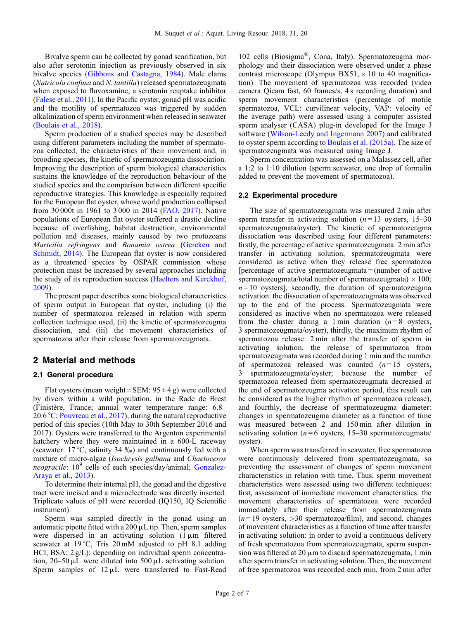Bivalve sperm can be collected by gonad scarification, but also after serotonin injection as previously observed in six bivalve species [\(Gibbons and Castagna, 1984\)](#page-5-0). Male clams (Nutricola confusa and N. tantilla) released spermatozeugmata when exposed to fluvoxamine, a serotonin reuptake inhibitor ([Falese et al., 2011\)](#page-5-0). In the Pacific oyster, gonad pH was acidic and the motility of spermatozoa was triggered by sudden alkalinization of sperm environment when released in seawater ([Boulais et al., 2018\)](#page-5-0).

Sperm production of a studied species may be described using different parameters including the number of spermatozoa collected, the characteristics of their movement and, in brooding species, the kinetic of spermatozeugma dissociation. Improving the description of sperm biological characteristics sustains the knowledge of the reproduction behaviour of the studied species and the comparison between different specific reproductive strategies. This knowledge is especially required for the European flat oyster, whose world production collapsed from 30 000t in 1961 to 3 000 in 2014 ([FAO, 2017\)](#page-5-0). Native populations of European flat oyster suffered a drastic decline because of overfishing, habitat destruction, environmental pollution and diseases, mainly caused by two protozoans Marteilia refringens and Bonamia ostrea ([Gercken and](#page-5-0) [Schmidt, 2014\)](#page-5-0). The European flat oyster is now considered as a threatened species by OSPAR commission whose protection must be increased by several approaches including the study of its reproduction success [\(Haelters and Kerckhof,](#page-5-0) [2009](#page-5-0)).

The present paper describes some biological characteristics of sperm output in European flat oyster, including (i) the number of spermatozoa released in relation with sperm collection technique used, (ii) the kinetic of spermatozeugma dissociation, and (iii) the movement characteristics of spermatozoa after their release from spermatozeugmata.

# 2 Material and methods

### 2.1 General procedure

Flat oysters (mean weight  $\pm$  SEM: 95  $\pm$  4 g) were collected by divers within a wild population, in the Rade de Brest (Finistère, France; annual water temperature range: 6.8– 20.6 °C; [Pouvreau et al., 2017\)](#page-6-0), during the natural reproductive period of this species (10th May to 30th September 2016 and 2017). Oysters were transferred to the Argenton experimental hatchery where they were maintained in a 600-L raceway (seawater: 17 °C, salinity 34 ‰) and continuously fed with a mixture of micro-algae (Isochrysis galbana and Chaetoceros *neogracile*:  $10^9$  cells of each species/day/animal; [Gonzalez-](#page-5-0)[Araya et al., 2013](#page-5-0)).

To determine their internal pH, the gonad and the digestive tract were incised and a microelectrode was directly inserted. Triplicate values of pH were recorded (IQ150, IQ Scientific instrument).

Sperm was sampled directly in the gonad using an automatic pipette fitted with a 200  $\mu$ L tip. Then, sperm samples were dispersed in an activating solution  $(1 \mu m)$  filtered seawater at 19 °C, Tris 20 mM adjusted to pH 8.1 adding HCl, BSA:  $2 g/L$ ): depending on individual sperm concentration,  $20-50 \mu L$  were diluted into  $500 \mu L$  activating solution. Sperm samples of  $12 \mu L$  were transferred to Fast-Read 102 cells (Biosigma®, Cona, Italy). Spermatozeugma morphology and their dissociation were observed under a phase contrast microscope (Olympus BX51,  $\times$  10 to 40 magnification). The movement of spermatozoa was recorded (video camera Qicam fast, 60 frames/s, 4 s recording duration) and sperm movement characteristics (percentage of motile spermatozoa, VCL: curvilinear velocity, VAP: velocity of the average path) were assessed using a computer assisted sperm analyser (CASA) plug-in developed for the Image J software [\(Wilson-Leedy and Ingermann 2007\)](#page-6-0) and calibrated to oyster sperm according to [Boulais et al. \(2015a\).](#page-5-0) The size of spermatozeugmata was measured using Image J.

Sperm concentration was assessed on a Malassez cell, after a 1:2 to 1:10 dilution (sperm:seawater, one drop of formalin added to prevent the movement of spermatozoa).

#### 2.2 Experimental procedure

The size of spermatozeugmata was measured 2 min after sperm transfer in activating solution ( $n = 13$  oysters, 15–30 spermatozeugmata/oyster). The kinetic of spermatozeugma dissociation was described using four different parameters: firstly, the percentage of active spermatozeugmata: 2 min after transfer in activating solution, spermatozeugmata were considered as active when they release free spermatozoa [percentage of active spermatozeugmata = (number of active spermatozeugmata/total number of spermatozeugmata)  $\times$  100;  $n = 10$  oysters], secondly, the duration of spermatozeugma activation: the dissociation of spermatozeugmata was observed up to the end of the process. Spermatozeugmata were considered as inactive when no spermatozoa were released from the cluster during a 1 min duration  $(n=8)$  oysters, 3 spermatozeugmata/oyster), thirdly, the maximum rhythm of spermatozoa release: 2 min after the transfer of sperm in activating solution, the release of spermatozoa from spermatozeugmata was recorded during 1 min and the number of spermatozoa released was counted  $(n=15)$  oysters, 3 spermatozeugmata/oyster; because the number of spermatozoa released from spermatozeugmata decreased at the end of spermatozeugma activation period, this result can be considered as the higher rhythm of spermatozoa release), and fourthly, the decrease of spermatozeugma diameter: changes in spermatozeugma diameter as a function of time was measured between 2 and 150 min after dilution in activating solution ( $n = 6$  oysters, 15–30 spermatozeugmata/ oyster).

When sperm was transferred in seawater, free spermatozoa were continuously delivered from spermatozeugmata, so preventing the assessment of changes of sperm movement characteristics in relation with time. Thus, sperm movement characteristics were assessed using two different techniques: first, assessment of immediate movement characteristics: the movement characteristics of spermatozoa were recorded immediately after their release from spermatozeugmata  $(n = 19 \text{ oystems}, > 30 \text{ spermatozoa/film})$ , and second, changes of movement characteristics as a function of time after transfer in activating solution: in order to avoid a continuous delivery of fresh spermatozoa from spermatozeugmata, sperm suspension was filtered at  $20 \mu m$  to discard spermatozeugmata, 1 min after sperm transfer in activating solution. Then, the movement of free spermatozoa was recorded each min, from 2 min after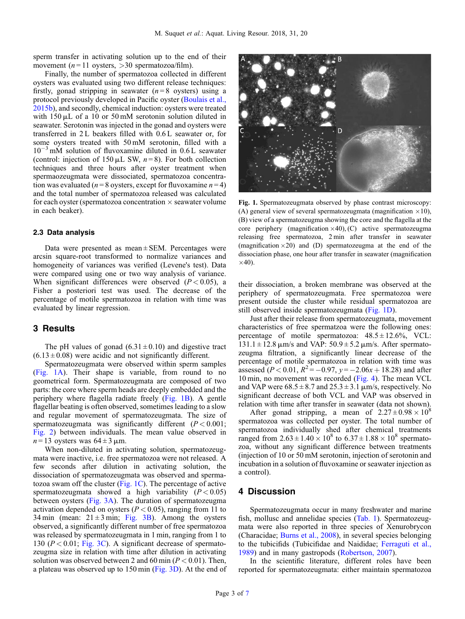sperm transfer in activating solution up to the end of their movement ( $n = 11$  oysters,  $> 30$  spermatozoa/film).

Finally, the number of spermatozoa collected in different oysters was evaluated using two different release techniques: firstly, gonad stripping in seawater  $(n=8$  oysters) using a protocol previously developed in Pacific oyster [\(Boulais et al.,](#page-5-0) [2015b](#page-5-0)), and secondly, chemical induction: oysters were treated with  $150 \mu L$  of a 10 or 50 mM serotonin solution diluted in seawater. Serotonin was injected in the gonad and oysters were transferred in 2 L beakers filled with 0.6 L seawater or, for some oysters treated with 50 mM serotonin, filled with a  $10^{-3}$  mM solution of fluvoxamine diluted in 0.6 L seawater (control: injection of  $150 \mu L$  SW,  $n=8$ ). For both collection techniques and three hours after oyster treatment when spermaozeugmata were dissociated, spermatozoa concentration was evaluated ( $n = 8$  oysters, except for fluvoxamine  $n = 4$ ) and the total number of spermatozoa released was calculated for each oyster (spermatozoa concentration  $\times$  seawater volume in each beaker).

#### 2.3 Data analysis

Data were presented as mean  $\pm$  SEM. Percentages were arcsin square-root transformed to normalize variances and homogeneity of variances was verified (Levene's test). Data were compared using one or two way analysis of variance. When significant differences were observed  $(P < 0.05)$ , a Fisher a posteriori test was used. The decrease of the percentage of motile spermatozoa in relation with time was evaluated by linear regression.

## 3 Results

The pH values of gonad  $(6.31 \pm 0.10)$  and digestive tract  $(6.13 \pm 0.08)$  were acidic and not significantly different.

Spermatozeugmata were observed within sperm samples (Fig. 1A). Their shape is variable, from round to no geometrical form. Spermatozeugmata are composed of two parts: the core where sperm heads are deeply embedded and the periphery where flagella radiate freely (Fig. 1B). A gentle flagellar beating is often observed, sometimes leading to a slow and regular movement of spermatozeugmata. The size of spermatozeugmata was significantly different  $(P < 0.001)$ ; [Fig. 2](#page-3-0)) between individuals. The mean value observed in  $n = 13$  oysters was  $64 \pm 3 \,\mu \text{m}$ .

When non-diluted in activating solution, spermatozeugmata were inactive, i.e. free spermatozoa were not released. A few seconds after dilution in activating solution, the dissociation of spermatozeugmata was observed and spermatozoa swam off the cluster (Fig. 1C). The percentage of active spermatozeugmata showed a high variability  $(P < 0.05)$ between oysters [\(Fig. 3A\)](#page-3-0). The duration of spermatozeugma activation depended on oysters ( $P < 0.05$ ), ranging from 11 to 34 min (mean:  $21 \pm 3$  min; [Fig. 3B](#page-3-0)). Among the oysters observed, a significantly different number of free spermatozoa was released by spermatozeugmata in 1 min, ranging from 1 to 130 ( $P < 0.01$ ; [Fig. 3C\)](#page-3-0). A significant decrease of spermatozeugma size in relation with time after dilution in activating solution was observed between 2 and 60 min ( $P < 0.01$ ). Then, a plateau was observed up to 150 min [\(Fig. 3D\)](#page-3-0). At the end of



Fig. 1. Spermatozeugmata observed by phase contrast microscopy: (A) general view of several spermatozeugmata (magnification  $\times 10$ ), (B) view of a spermatozeugma showing the core and the flagella at the core periphery (magnification  $\times$  40), (C) active spermatozeugma releasing free spermatozoa, 2 min after transfer in seawater (magnification  $\times$ 20) and (D) spermatozeugma at the end of the dissociation phase, one hour after transfer in seawater (magnification  $\times$ 40).

their dissociation, a broken membrane was observed at the periphery of spermatozeugmata. Free spermatozoa were present outside the cluster while residual spermatozoa are still observed inside spermatozeugmata (Fig. 1D).

Just after their release from spermatozeugmata, movement characteristics of free spermatzoa were the following ones: percentage of motile spermatozoa:  $48.5 \pm 12.6\%$ , VCL:  $131.1 \pm 12.8$   $\mu$ m/s and VAP:  $50.9 \pm 5.2$   $\mu$ m/s. After spermatozeugma filtration, a significantly linear decrease of the percentage of motile spermatozoa in relation with time was assessed ( $P < 0.01$ ,  $R^2 = -0.97$ ,  $y = -2.06x + 18.28$ ) and after 10 min, no movement was recorded ([Fig. 4](#page-3-0)). The mean VCL and VAP were  $68.5 \pm 8.7$  and  $25.3 \pm 3.1$   $\mu$ m/s, respectively. No significant decrease of both VCL and VAP was observed in relation with time after transfer in seawater (data not shown).

After gonad stripping, a mean of  $2.27 \pm 0.98 \times 10^8$ spermatozoa was collected per oyster. The total number of spermatozoa individually shed after chemical treatments ranged from  $2.63 \pm 1.40 \times 10^8$  to  $6.37 \pm 1.88 \times 10^8$  spermatozoa, without any significant difference between treatments (injection of 10 or 50 mM serotonin, injection of serotonin and incubation in a solution of fluvoxamine or seawater injection as a control).

# 4 Discussion

Spermatozeugmata occur in many freshwater and marine fish, mollusc and annelidae species ([Tab. 1\)](#page-4-0). Spermatozeugmata were also reported in three species of Xenurobrycon (Characidae; [Burns et al., 2008\)](#page-5-0), in several species belonging to the tubicifids (Tubicifidae and Naididae; [Ferraguti et al.,](#page-5-0) [1989](#page-5-0)) and in many gastropods [\(Robertson, 2007\)](#page-6-0).

In the scientific literature, different roles have been reported for spermatozeugmata: either maintain spermatozoa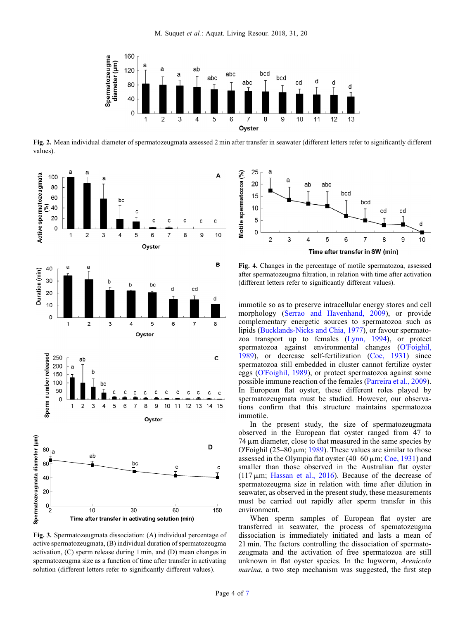<span id="page-3-0"></span>

Fig. 2. Mean individual diameter of spermatozeugmata assessed 2 min after transfer in seawater (different letters refer to significantly different values).



Fig. 3. Spermatozeugmata dissociation: (A) individual percentage of active spermatozeugmata, (B) individual duration of spermatozeugma activation, (C) sperm release during 1 min, and (D) mean changes in spermatozeugma size as a function of time after transfer in activating solution (different letters refer to significantly different values).



Fig. 4. Changes in the percentage of motile spermatozoa, assessed after spermatozeugma filtration, in relation with time after activation (different letters refer to significantly different values).

immotile so as to preserve intracellular energy stores and cell morphology ([Serrao and Havenhand, 2009](#page-6-0)), or provide complementary energetic sources to spermatozoa such as lipids [\(Bucklands-Nicks and Chia, 1977](#page-5-0)), or favour spermatozoa transport up to females [\(Lynn, 1994\)](#page-6-0), or protect spermatozoa against environmental changes ([O'Foighil,](#page-6-0) [1989](#page-6-0)), or decrease self-fertilization [\(Coe, 1931\)](#page-5-0) since spermatozoa still embedded in cluster cannot fertilize oyster eggs [\(O'Foighil, 1989](#page-6-0)), or protect spermatozoa against some possible immune reaction of the females ([Parreira et al., 2009\)](#page-6-0). In European flat oyster, these different roles played by spermatozeugmata must be studied. However, our observations confirm that this structure maintains spermatozoa immotile.

In the present study, the size of spermatozeugmata observed in the European flat oyster ranged from 47 to  $74 \mu m$  diameter, close to that measured in the same species by O'Foighil (25–80  $\mu$ m; [1989\)](#page-6-0). These values are similar to those assessed in the Olympia flat oyster  $(40-60 \,\mu m;$  [Coe, 1931](#page-5-0)) and smaller than those observed in the Australian flat oyster (117  $\mu$ m; [Hassan et al., 2016](#page-5-0)). Because of the decrease of spermatozeugma size in relation with time after dilution in seawater, as observed in the present study, these measurements must be carried out rapidly after sperm transfer in this environment.

When sperm samples of European flat oyster are transferred in seawater, the process of spematozeugma dissociation is immediately initiated and lasts a mean of 21 min. The factors controlling the dissociation of spermatozeugmata and the activation of free spermatozoa are still unknown in flat oyster species. In the lugworm, Arenicola marina, a two step mechanism was suggested, the first step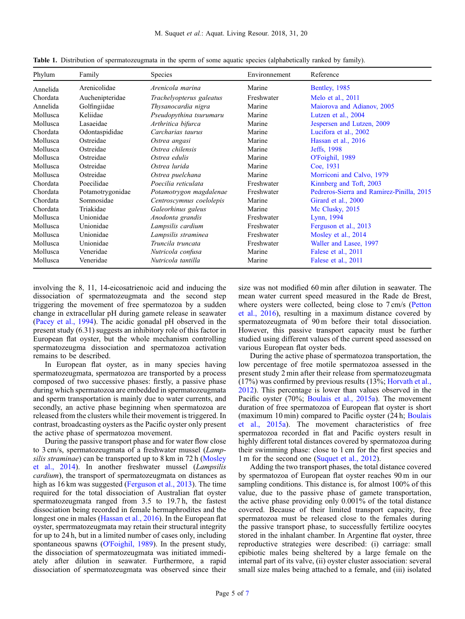| Phylum   | Family           | Species                  | Environnement | Reference                                 |
|----------|------------------|--------------------------|---------------|-------------------------------------------|
| Annelida | Arenicolidae     | Arenicola marina         | Marine        | Bentley, 1985                             |
| Chordata | Auchenipteridae  | Trachelyopterus galeatus | Freshwater    | Melo et al., 2011                         |
| Annelida | Golfingiidae     | Thysanocardia nigra      | Marine        | Maiorova and Adianov, 2005                |
| Mollusca | Keliidae         | Pseudopythina tsurumaru  | Marine        | Lutzen et al., 2004                       |
| Mollusca | Lasaeidae        | Arthritica bifurca       | Marine        | Jespersen and Lutzen, 2009                |
| Chordata | Odontaspididae   | Carcharias taurus        | Marine        | Lucifora et al., 2002                     |
| Mollusca | Ostreidae        | Ostrea angasi            | Marine        | Hassan et al., 2016                       |
| Mollusca | Ostreidae        | Ostrea chilensis         | Marine        | Jeffs, 1998                               |
| Mollusca | Ostreidae        | Ostrea edulis            | Marine        | O'Foighil, 1989                           |
| Mollusca | Ostreidae        | Ostrea lurida            | Marine        | Coe, 1931                                 |
| Mollusca | Ostreidae        | Ostrea puelchana         | Marine        | Morriconi and Calvo, 1979                 |
| Chordata | Poecilidae       | Poecilia reticulata      | Freshwater    | Kinnberg and Toft, 2003                   |
| Chordata | Potamotrygonidae | Potamotrygon magdalenae  | Freshwater    | Pedreros-Sierra and Ramirez-Pinilla, 2015 |
| Chordata | Somnosidae       | Centroscymnus coelolepis | Marine        | Girard et al., 2000                       |
| Chordata | Triakidae        | Galeorhinus galeus       | Marine        | Mc Clusky, $2015$                         |
| Mollusca | Unionidae        | Anodonta grandis         | Freshwater    | Lynn, 1994                                |
| Mollusca | Unionidae        | Lampsilis cardium        | Freshwater    | Ferguson et al., 2013                     |
| Mollusca | Unionidae        | Lampsilis straminea      | Freshwater    | Mosley et al., 2014                       |
| Mollusca | Unionidae        | Truncila truncata        | Freshwater    | Waller and Lasee, 1997                    |
| Mollusca | Veneridae        | Nutricola confusa        | Marine        | Falese et al., 2011                       |
| Mollusca | Veneridae        | Nutricola tantilla       | Marine        | Falese et al., 2011                       |

<span id="page-4-0"></span>Table 1. Distribution of spermatozeugmata in the sperm of some aquatic species (alphabetically ranked by family).

involving the 8, 11, 14-eicosatrienoic acid and inducing the dissociation of spermatozeugmata and the second step triggering the movement of free spermatozoa by a sudden change in extracellular pH during gamete release in seawater ([Pacey et al., 1994\)](#page-6-0). The acidic gonadal pH observed in the present study (6.31) suggests an inhibitory role of this factor in European flat oyster, but the whole mechanism controlling spermatozeugma dissociation and spermatozoa activation remains to be described.

In European flat oyster, as in many species having spermatozeugmata, spermatozoa are transported by a process composed of two successive phases: firstly, a passive phase during which spermatozoa are embedded in spermatozeugmata and sperm transportation is mainly due to water currents, and secondly, an active phase beginning when spermatozoa are released from the clusters while their movement is triggered. In contrast, broadcasting oysters as the Pacific oyster only present the active phase of spermatozoa movement.

During the passive transport phase and for water flow close to 3 cm/s, spermatozeugmata of a freshwater mussel (Lamp-silis straminae) can be transported up to 8 km in 72 h ([Mosley](#page-6-0) [et al., 2014\)](#page-6-0). In another freshwater mussel (Lampsilis cardium), the transport of spermatozeugmata on distances as high as 16 km was suggested ([Ferguson et al., 2013](#page-5-0)). The time required for the total dissociation of Australian flat oyster spermatozeugmata ranged from 3.5 to 19.7 h, the fastest dissociation being recorded in female hermaphrodites and the longest one in males ([Hassan et al., 2016\)](#page-5-0). In the European flat oyster, sperrmatozeugmata may retain their structural integrity for up to 24 h, but in a limited number of cases only, including spontaneous spawns [\(O'Foighil, 1989](#page-6-0)). In the present study, the dissociation of spermatozeugmata was initiated immediately after dilution in seawater. Furthermore, a rapid dissociation of spermatozeugmata was observed since their size was not modified 60 min after dilution in seawater. The mean water current speed measured in the Rade de Brest, where oysters were collected, being close to 7 cm/s [\(Petton](#page-6-0) [et al., 2016\)](#page-6-0), resulting in a maximum distance covered by spermatozeugmata of 90 m before their total dissociation. However, this passive transport capacity must be further studied using different values of the current speed assessed on various European flat oyster beds.

During the active phase of spermatozoa transportation, the low percentage of free motile spermatozoa assessed in the present study 2 min after their release from spermatozeugmata (17%) was confirmed by previous results (13%; [Horvath et al.,](#page-6-0) [2012](#page-6-0)). This percentage is lower than values observed in the Pacific oyster (70%; [Boulais et al., 2015a\)](#page-5-0). The movement duration of free spermatozoa of European flat oyster is short (maximum 10 min) compared to Pacific oyster (24 h; [Boulais](#page-5-0) [et al., 2015a](#page-5-0)). The movement characteristics of free spermatozoa recorded in flat and Pacific oysters result in highly different total distances covered by spermatozoa during their swimming phase: close to 1 cm for the first species and 1 m for the second one ([Suquet et al., 2012\)](#page-6-0).

Adding the two transport phases, the total distance covered by spermatozoa of European flat oyster reaches 90 m in our sampling conditions. This distance is, for almost 100% of this value, due to the passive phase of gamete transportation, the active phase providing only 0.001% of the total distance covered. Because of their limited transport capacity, free spermatozoa must be released close to the females during the passive transport phase, to successfully fertilize oocytes stored in the inhalant chamber. In Argentine flat oyster, three reproductive strategies were described: (i) carriage: small epibiotic males being sheltered by a large female on the internal part of its valve, (ii) oyster cluster association: several small size males being attached to a female, and (iii) isolated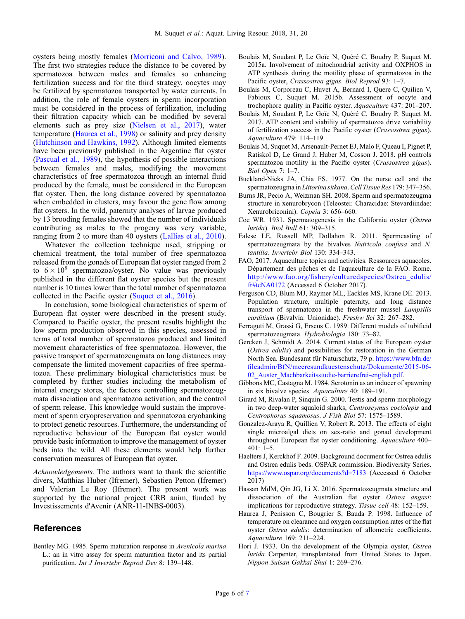<span id="page-5-0"></span>oysters being mostly females ([Morriconi and Calvo, 1989](#page-6-0)). The first two strategies reduce the distance to be covered by spermatozoa between males and females so enhancing fertilization success and for the third strategy, oocytes may be fertilized by spermatozoa transported by water currents. In addition, the role of female oysters in sperm incorporation must be considered in the process of fertilization, including their filtration capacity which can be modified by several elements such as prey size [\(Nielsen et al., 2017](#page-6-0)), water temperature (Haurea et al., 1998) or salinity and prey density ([Hutchinson and Hawkins, 1992](#page-6-0)). Although limited elements have been previously published in the Argentine flat oyster ([Pascual et al., 1989](#page-6-0)), the hypothesis of possible interactions between females and males, modifying the movement characteristics of free spermatozoa through an internal fluid produced by the female, must be considered in the European flat oyster. Then, the long distance covered by spermatozoa when embedded in clusters, may favour the gene flow among flat oysters. In the wild, paternity analyses of larvae produced by 13 brooding females showed that the number of individuals contributing as males to the progeny was very variable, ranging from 2 to more than 40 oysters ([Lallias et al., 2010](#page-6-0)).

Whatever the collection technique used, stripping or chemical treatment, the total number of free spermatozoa released from the gonads of European flat oyster ranged from 2 to  $6 \times 10^8$  spermatozoa/oyster. No value was previously published in the different flat oyster species but the present number is 10 times lower than the total number of spermatozoa collected in the Pacific oyster ([Suquet et al., 2016\)](#page-6-0).

In conclusion, some biological characteristics of sperm of European flat oyster were described in the present study. Compared to Pacific oyster, the present results highlight the low sperm production observed in this species, assessed in terms of total number of spermatozoa produced and limited movement characteristics of free spermatozoa. However, the passive transport of spermatozeugmata on long distances may compensate the limited movement capacities of free spermatozoa. These preliminary biological characteristics must be completed by further studies including the metabolism of internal energy stores, the factors controlling spermatozeugmata dissociation and spermatozoa activation, and the control of sperm release. This knowledge would sustain the improvement of sperm cryopreservation and spermatozoa cryobanking to protect genetic resources. Furthermore, the understanding of reproductive behaviour of the European flat oyster would provide basic information to improve the management of oyster beds into the wild. All these elements would help further conservation measures of European flat oyster.

Acknowledgements. The authors want to thank the scientific divers, Matthias Huber (Ifremer), Sebastien Petton (Ifremer) and Valerian Le Roy (Ifremer). The present work was supported by the national project CRB anim, funded by Investissements d'Avenir (ANR-11-INBS-0003).

## References

Bentley MG. 1985. Sperm maturation response in Arenicola marina L.: an in vitro assay for sperm maturation factor and its partial purification. Int J Invertebr Reprod Dev 8: 139–148.

- Boulais M, Soudant P, Le Goïc N, Quéré C, Boudry P, Suquet M. 2015a. Involvement of mitochondrial activity and OXPHOS in ATP synthesis during the motility phase of spermatozoa in the Pacific oyster, Crassostrea gigas. Biol Reprod 93: 1–7.
- Boulais M, Corporeau C, Huvet A, Bernard I, Quere C, Quilien V, Fabioux C, Suquet M. 2015b. Assessment of oocyte and trochophore quality in Pacific oyster. Aquaculture 437: 201–207.
- Boulais M, Soudant P, Le Goïc N, Quéré C, Boudry P, Suquet M. 2017. ATP content and viability of spermatozoa drive variability of fertilization success in the Pacific oyster (Crassostrea gigas). Aquaculture 479: 114–119.
- Boulais M, Suquet M, Arsenault-Pernet EJ, Malo F, Queau I, Pignet P, Ratiskol D, Le Grand J, Huber M, Cosson J. 2018. pH controls spermatozoa motility in the Pacific oyster (Crassostrea gigas). Biol Open 7: 1–7.
- Buckland-Nicks JA, Chia FS. 1977. On the nurse cell and the spermatozeugma in Littorina sitkana. Cell Tissue Res 179: 347-356.
- Burns JR, Pecio A, Weizman SH. 2008. Sperm and spermatozeugma structure in xenurobrycon (Teleostei: Characidae: Stevardiindae: Xenurobriconini). Copeia 3: 656–660.
- Coe WR. 1931. Spermatogenesis in the California oyster (Ostrea lurida). Biol Bull 61: 309–315.
- Falese LE, Russell MP, Dollahon R. 2011. Spermcasting of spermatozeugmata by the bivalves Nutricola confusa and N. tantilla. Invertebr Biol 130: 334–343.
- FAO, 2017. Aquaculture topics and activities. Ressources aquacoles. Département des pêches et de l'aquaculture de la FAO. Rome. http://www.fao.org/fi[shery/culturedspecies/Ostrea\\_edulis/](http://www.fao.org/fishery/culturedspecies/Ostrea_edulis/fr#tcNA0172) [fr#tcNA0172](http://www.fao.org/fishery/culturedspecies/Ostrea_edulis/fr#tcNA0172) (Accessed 6 October 2017).
- Ferguson CD, Blum MJ, Raymer ML, Eackles MS, Krane DE. 2013. Population structure, multiple paternity, and long distance transport of spermatozoa in the freshwater mussel Lampsilis carditium (Bivalvia: Unionidae). Freshw Sci 32: 267–282.
- Ferraguti M, Grassi G, Erseus C. 1989. Different models of tubificid spermatozeugmata. Hydrobiologia 180: 73–82.
- Gercken J, Schmidt A. 2014. Current status of the European oyster (Ostrea edulis) and possibilities for restoration in the German North Sea. Bundesamt für Naturschutz, 79 p. [https://www.bfn.de/](https://www.bfn.de/fileadmin/BfN/meeresundkuestenschutz/Dokumente/2015-06-02_Auster_Machbarkeitsstudie-barrierefrei-english.pdf) fi[leadmin/BfN/meeresundkuestenschutz/Dokumente/2015-06-](https://www.bfn.de/fileadmin/BfN/meeresundkuestenschutz/Dokumente/2015-06-02_Auster_Machbarkeitsstudie-barrierefrei-english.pdf) [02\\_Auster\\_Machbarkeitsstudie-barrierefrei-english.pdf.](https://www.bfn.de/fileadmin/BfN/meeresundkuestenschutz/Dokumente/2015-06-02_Auster_Machbarkeitsstudie-barrierefrei-english.pdf)
- Gibbons MC, Castagna M. 1984. Serotonin as an inducer of spawning in six bivalve species. Aquaculture 40: 189–191.
- Girard M, Rivalan P, Sinquin G. 2000. Testis and sperm morphology in two deep-water squaloid sharks, Centroscymus coelolepis and Centrophorus squamosus. J Fish Biol 57: 1575–1589.
- Gonzalez-Araya R, Quillien V, Robert R. 2013. The effects of eight single microalgal diets on sex-ratio and gonad development throughout European flat oyster conditioning. Aquaculture 400– 401: 1–5.
- Haelters J, Kerckhof F. 2009. Background document for Ostrea edulis and Ostrea edulis beds. OSPAR commission. Biodiversity Series. <https://www.ospar.org/documents?d=7183> (Accessed 6 October 2017)
- Hassan MdM, Qin JG, Li X. 2016. Spermatozeugmata structure and dissociation of the Australian flat oyster Ostrea angasi: implications for reproductive strategy. Tissue cell 48: 152–159.
- Haurea J, Penisson C, Bougrier S, Bauda P. 1998. Influence of temperature on clearance and oxygen consumption rates of the flat oyster Ostrea edulis: determination of allometric coefficients. Aquaculture 169: 211–224.
- Hori J. 1933. On the development of the Olympia oyster, Ostrea lurida Carpenter, transplantated from United States to Japan. Nippon Suisan Gakkai Shui 1: 269–276.